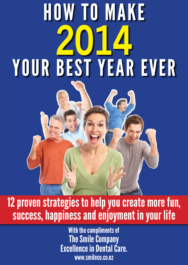# HOW TO MAKE **2014**  YOUR BEST YEAR EVER

# 12 proven strategies to help you create more fun, success, happiness and enjoyment in your life

With the compliments of The Smile Company Excellence in Dental Care. www.smileco.co.nz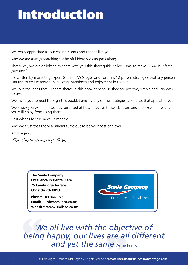# Introduction

We really appreciate all our valued clients and friends like you.

And we are always searching for helpful ideas we can pass along.

That's why we are delighted to share with you this short guide called '*How to make 2014 your best year ever*'

It's written by marketing expert Graham McGregor and contains 12 proven strategies that any person can use to create more fun, success, happiness and enjoyment in their life.

We love the ideas that Graham shares in this booklet because they are positive, simple and very easy to use.

We invite you to read through this booklet and try any of the strategies and ideas that appeal to you.

We know you will be pleasantly surprised at how effective these ideas are and the excellent results you will enjoy from using them.

Best wishes for the next 12 months.

And we trust that the year ahead turns out to be your best one ever!

Kind regards

The Smile Company Team

**The Smile Company Excellence in Dental Care 75 Cambridge Terrace Christchurch 8013**

**Phone: 03 3661948 Email: info@smileco.co.nz Website: www.smileco.co.nz**



all live with the objectiv<br>|appy; our lives are all d<br>|and yet the same <sub>Anne Frank</sub> **"** *We all live with the objective of being happy; our lives are all different*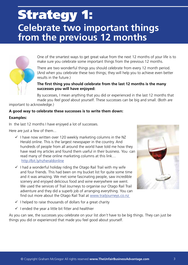## Strategy 1: **Celebrate two important things from the previous 12 months**



One of the smartest ways to get great value from the next 12 months of your life is to make sure you celebrate some important things from the previous 12 months.

There are two wonderful things you should celebrate from every 12 month period. (And when you celebrate these two things; they will help you to achieve even better results in the future.)

#### **The first thing you should celebrate from the last 12 months is the many successes you will have enjoyed:**

By successes, I mean anything that you did or experienced in the last 12 months that made you *feel good* about yourself. These successes can be big and small. (Both are

important to acknowledge.)

#### **A good way to celebrate these successes is to write them down:**

#### **Examples:**

In the last 12 months I have enjoyed a lot of successes.

Here are just a few of them...

- $\checkmark$  I have now written over 120 weekly marketing columns in the NZ Herald online. This is the largest newspaper in the country. And hundreds of people from all around the world have told me how they have read my articles and found them useful in their business. You can read many of these online marketing columns at this link… http://bit.ly/nzheraldonline
- $\checkmark$  I had a wonderful holiday riding the Otago Rail Trail with my wife and four friends. This had been on my bucket list for quite some time and it was amazing. We met some fascinating people, saw incredible scenery and enjoyed delicious food and wine everywhere we went. We used the services of Trail Journeys to organise our Otago Rail Trail adventure and they did a superb job of arranging everything. You can find out more about the Otago Rail Trail at www.trailjourneys.co.nz



- $\checkmark$  I helped to raise thousands of dollars for a great charity
- $\checkmark$  I ended the year a little bit fitter and healthier

As you can see, the successes you celebrate on your list *don't* have to be big things. They can just be things you did or experienced that made you feel good about yourself.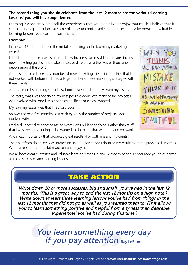#### **The second thing you should celebrate from the last 12 months are the various 'Learning Lessons' you will have experienced:**

Learning lessons are what I call the experiences that you didn't like or enjoy that much. I believe that it can be very helpful to look at some of these uncomfortable experiences and write down the valuable learning lessons you learned from them.

#### **Example:**

In the last 12 months I made the mistake of taking on far too many marketing projects.

I decided to produce a series of brand new business success videos , create dozens of new marketing guides, and make a massive difference to the lives of thousands of people around the world.

At the same time I took on a number of new marketing clients in industries that I had not worked with before and tried a large number of new marketing strategies with these clients.

After six months of being super busy I took a step back and reviewed my results.

The reality was I was not doing my best possible work with many of the projects I was involved with. And I was not enjoying life as much as I wanted.

My learning lesson was that I had lost focus.

So over the next few months I cut back by 75% the number of projects I was involved with.

I realised I needed to concentrate on what I was brilliant at doing. Rather than stuff that I was average at doing. I also wanted to do things that were fun and enjoyable.

And most importantly that produced great results. (For both me and my clients.)

The result from doing less was interesting. In a 90 day period I doubled my results from the previous six months. With far less effort and a lot more fun and enjoyment.

We all have great successes and valuable learning lessons in any 12 month period. I encourage you to celebrate all these successes and learning lessons.

### TAKE ACTION

*Write down 20 or more successes, big and small, you've had in the last 12 months. (This is a great way to end the last 12 months on a high note.) Write down at least three learning lessons you've had from things in the last 12 months that did not go as well as you wanted them to. (This allows you to learn something positive and helpful from any 'less than desirable experiences' you've had during this time.)*

 **You learn something every** if you pay attention *You learn something every day if you pay attention* Ray LeBlond

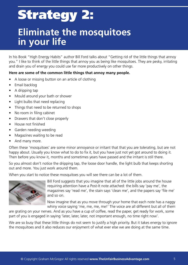# Strategy 2:

### **Eliminate the mosquitoes in your life**

In his Book "High Energy Habits" author Bill Ford talks about "Getting rid of the little things that annoy you." I like to think of the little things that annoy you as being like mosquitoes. They are pesky, irritating and drain you of energy you could use far more productively on other things.

#### **Here are some of the common little things that annoy many people.**

- A loose or missing button on an article of clothing
- Email backlog
- A dripping tap
- Mould around your bath or shower
- Light bulbs that need replacing
- Things that need to be returned to shops
- No room in filing cabinet
- Drawers that don't close properly
- • House not finished
- Garden needing weeding
- Magazines waiting to be read
- And many more.

Often these 'mosquitoes' are some minor annoyance or irritant that that you are tolerating, but are not happy about. Usually you know what to do to fix it, but you have just not yet got around to doing it. Then before you know it, months and sometimes years have passed and the irritant is still there.

So you almost don't notice the dripping tap, the loose door handle, the light bulb that keeps shorting out and more. You just work around them.

When you start to notice these mosquitoes you will see there can be a lot of them.



Bill Ford suggests that you imagine that all of the little jobs around the house requiring attention have a Post-It note attached: the bills say 'pay me', the magazines say 'read me', the stain says 'clean me', and the papers say 'file me' and so on.

Now imagine that as you move through your home that each note has a naggy whiny voice saying 'me, me, me, me!' The voice are all different but all of them

are grating on your nerves. And as you have a cup of coffee, read the paper, get ready for work, some part of you is engaged in saying 'later, later, later, not important enough, no time right now'.

We are so busy that these little things do not seem to justify a high priority. But it takes energy to ignore the mosquitoes and it also reduces our enjoyment of what ever else we are doing at the same time.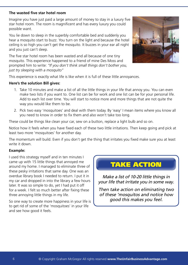#### **The wasted five star hotel room**

Imagine you have just paid a large amount of money to stay in a luxury five star hotel room. The room is magnificent and has every luxury you could possible want.

You lie down to sleep in the superbly comfortable bed and suddenly you hear a mosquito start to buzz. You turn on the light and because the hotel ceiling is so high you can't get the mosquito. It buzzes in your ear all night and you just can't sleep.

The five star hotel room has been wasted and all because of one tiny mosquito. This experience happened to a friend of mine Des Moss and prompted him to write: *"If you don't think small things don't bother you, just try sleeping with a mosquito"* 



This experience is exactly what life is like when it is full of these little annoyances.

#### **Here's the solution Bill gives:**

- 1. Take 10 minutes and make a list of all the little things in your life that annoy you. You can even make two lists if you want to. One list can be for work and one list can be for your personal life. Add to each list over time. You will start to notice more and more things that are not quite the way you would like them to be.
- 2. Pick two easy 'mosquitoes' and deal with them today. By 'easy' I mean items where you know all you need to know in order to fix them and also won't take too long.

These could be things like clean your car, sew on a button, replace a light bulb and so on.

Notice how it feels when you have fixed each of these two little irritations. Then keep going and pick at least two more 'mosquitoes' for another day.

The momentum will build. Even if you don't get the thing that irritates you fixed make sure you at least write it down.

#### **Example:**

I used this strategy myself and in ten minutes I came up with 15 little things that annoyed me around my home. I managed to eliminate three of these pesky irritations that same day. One was an overdue library book I needed to return. I put it in my car and dropped in into the library a few hours later. It was so simple to do, yet I had put it off for a week. I felt so much better after fixing these three annoying little things in my life.

So one way to create more happiness in your life is to get rid of some of the 'mosquitoes' in your life and see how good it feels.

### TAKE ACTION

*Make a list of 10-20 little things in your life that irritate you in some way.* 

*Then take action on eliminating two of these 'mosquitos and notice how good this makes you feel.*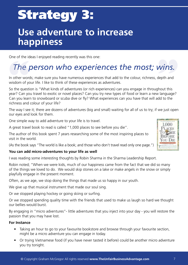# Strategy 3:

### **Use adventure to increase happiness**

One of the ideas I enjoyed reading recently was this one:

# ne of the ideas I enjoyed reading recently was this one:<br> **The person who experiences the most; wins.**

In other words; make sure you have numerous experiences that add to the colour, richness, depth and wisdom of your life. I like to think of these experiences as adventures. In other work<br>
Wisdom of your<br>
So the quest<br>
Year<sup>?</sup> Can you

So the question is "What kinds of adventures (or rich experiences) can you engage in throughout this year? Can you travel to exotic or novel places? Can you try new types of food or learn a new language? Can you learn to snowboard or scuba dive or fly? What experiences can you have that will add to the richness and colour of your life?

The way I see it; there are dozens of adventures (big and small) waiting for all of us to try; if we just open our eyes and look for them.

One simple way to add adventure to your life is to travel.

A great travel book to read is called "1,000 places to see before you die".

The author of this book spent 7 years researching some of the most inspiring places to visit in the world.

(As the book says "The world is like a book; and those who don't travel read only one page.")

#### **You can add micro-adventures to your life as well**

I was reading some interesting thoughts by Robin Sharma in the Sharma Leadership Report.

Robin noted; "When we were kids, much of our happiness came from the fact that we did so many of the things we loved to do. We would skip stones on a lake or make angels in the snow or simply playfully engage in the present moment.

Often, as we age, we stop doing the things that made us so happy in our youth.

We give up that musical instrument that made our soul sing.

Or we stopped playing hockey or going skiing or surfing.

Or we stopped spending quality time with the friends that used to make us laugh so hard we thought our bellies would burst.

By engaging in "micro adventures"- little adventures that you inject into your day - you will restore the passion that you may have lost.

#### **For Instance**

- Taking an hour to go to your favourite bookstore and browse through your favourite section, might be a micro adventure you can engage in today.
- Or trying Vietnamese food (if you have never tasted it before) could be another micro adventure you try tonight.

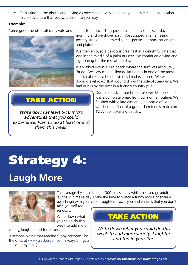Or picking up the phone and having a conversation with someone you admire could be another micro adventure that you schedule into your day."

#### **Example:**

Some good friends invited my wife and me out for a drive. They picked us up early on a Saturday



morning and we drove north. We stopped at an amazing pottery studio and admired some spectacular pots, ornaments and plates.

We then enjoyed a delicious breakfast in a delightful café that was in the middle of a palm nursery. We continued driving and sightseeing for the rest of the day.

We walked down a surf beach where the surf was absolutely 'huge'. We saw multimillion dollar homes in one of the most spectacular sea side subdivisions I had ever seen. We went down gravel roads that wound down the side of steep hills. We had drinks by the river in a friendly country pub.

### TAKE ACTION

*Write down at least 5-10 micro adventures that you could experience. Plan to do at least one of them this week.*

Our micro-adventure lasted for over 12 hours and was a complete break from our normal routine. We finished with a late dinner and a bottle of wine and watched the final of a grand slam tennis match on TV. All up it was a great day.

# Strategy 4:

## **Laugh More**



The average 4 year old laughs 300 times a day while the average adult laughs 15 times a day. Make the time to watch a funny movie or share a belly laugh with your child. Laughter relaxes you and ensures that you don't

take yourself too seriously.

Write down what you could do this week to add more

variety, laughter and fun in your life.

(I personally find that reading funny cartoons like the ones at www.glasbergen.com always brings a smile to my face.)

### TAKE ACTION

*Write down what you could do this week to add more variety, laughter and fun in your life.*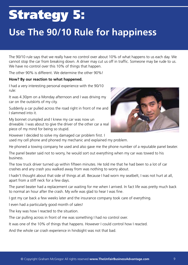# Strategy 5:

## **Use The 90/10 Rule for happiness**

The 90/10 rule says that we really have no control over about 10% of what happens to us each day. We cannot stop the car from breaking down. A driver may cut us off in traffic. Someone may be rude to us. We have no control over this 10% of things that happen.

The other 90% is different. We determine the other 90%!

#### **How? By our reaction to what happened.**

I had a very interesting personal experience with the 90/10 rule:

It was 4.30pm on a Monday afternoon and I was driving my car on the outskirts of my city.

Suddenly a car pulled across the road right in front of me and I slammed into it.

My bonnet crumpled and I knew my car was now un driveable. I was about to give the driver of the other car a real piece of my mind for being so stupid.

However I decided to solve my damaged car problem first. I used my cell phone and phoned my mechanic and explained my problem.

He phoned a towing company he used and also gave me the phone number of a reputable panel beater.

The panel beater said not to worry, he would sort out everything when my car was towed to his business.

The tow truck driver turned up within fifteen minutes. He told me that he had been to a lot of car crashes and any crash you walked away from was nothing to worry about.

I hadn't thought about that side of things at all. Because I had worn my seatbelt, I was not hurt at all, apart from a stiff neck for a few days.

The panel beater had a replacement car waiting for me when I arrived. In fact life was pretty much back to normal an hour after the crash. My wife was glad to hear I was fine.

I got my car back a few weeks later and the insurance company took care of everything.

I even had a particularly good month of sales!

The key was how I reacted to the situation.

The car pulling across in front of me was something I had no control over.

It was one of the 10% of things that happens. However I could control how I reacted.

And the whole car crash experience in hindsight was not that bad.

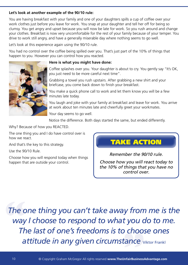#### **Let's look at another example of the 90/10 rule:**

You are having breakfast with your family and one of your daughters spills a cup of coffee over your work clothes just before you leave for work. You snap at your daughter and tell her off for being so clumsy. You get angry and upset because you will now be late for work. So you rush around and change your clothes. Breakfast is now very uncomfortable for the rest of your family because of your temper. You drive to work still angry, and have a generally miserable day where nothing seems to go well.

Let's look at this experience again using the 90/10 rule.

You had no control over the coffee being spilled over you. That's just part of the 10% of things that happen to you. However you can control how you reacted.



#### **Here is what you might have done:**

Coffee splashes over you. Your daughter is about to cry. You gently say "It's OK, you just need to be more careful next time".

Grabbing a towel you rush upstairs. After grabbing a new shirt and your briefcase, you come back down to finish your breakfast.

You make a quick phone call to work and let them know you will be a few minutes late today.

You laugh and joke with your family at breakfast and leave for work. You arrive at work about ten minutes late and cheerfully greet your workmates.

Your day seems to go well.

Notice the difference. Both days started the same, but ended differently.

Why? Because of how you REACTED.

The one thing you and I do have control over is how we react.

And that's the key to this strategy.

Use the 90/10 Rule.

Choose how you will respond today when things happen that are outside your control.

TAKE ACTION

*Remember the 90/10 rule.* 

*Choose how you will react today to the 10% of things that you have no control over.* 

The c<br>
way<br>
Th *The one thing you can't take away from me is the way I choose to respond to what you do to me.*  ay renoose to respond to what you do to me<br>
The last of one's freedoms is to choose ones<br>
attitude in any given circumstance **Viktor Frankl**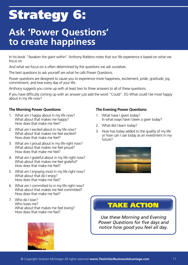# Strategy 6:

### **Ask 'Power Questions' to create happiness**

In his book "Awaken the giant within" Anthony Robbins notes that our life experience is based on what we focus on.

And what we focus on is often determined by the questions we ask ourselves.

The best questions to ask yourself are what he calls Power Questions.

Power questions are designed to cause you to experience more happiness, excitement, pride, gratitude, joy, commitment, and love every day of your life.

Anthony suggests you come up with at least two to three answers to all of these questions.

If you have difficulty coming up with an answer just add the word "Could". EG What could I be most happy about in my life now?

#### **The Morning Power Questions:**

- 1. What am I happy about in my life now? What about that makes me happy? How does that make me feel?
- 2. What am I excited about in my life now? What about that makes me feel excited? How does that make me feel?
- 3. What am I proud about in my life right now? What about that makes me feel proud? How does that make me feel?
- 4. What am I grateful about in my life right now? What about that makes me feel grateful? How does that make me feel?
- 5. What am I enjoying most in my life right now? What about that do I enjoy? How does that make me feel?
- 6. What am I committed to in my life right now? What about that makes me feel committed? How does that make me feel?
- 7. Who do I love? Who loves me? What about that makes me feel loving? How does that make me feel?



#### **The Evening Power Questions:**

- 1. What have I given today? In what ways have I been a giver today?
- 2. What did I learn today?
- 3. How has today added to the quality of my life or how can I use today as an investment in my future?



### TAKE ACTION

*Use these Morning and Evening Power Questions for five days and notice how good you feel all day.*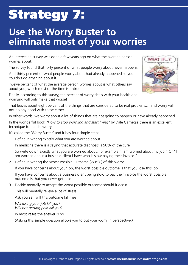# Strategy 7:

### **Use the Worry Buster to eliminate most of your worries**

An interesting survey was done a few years ago on what the average person worries about.

The survey found that forty percent of what people worry about never happens.

And thirty percent of what people worry about had already happened so you couldn't do anything about it.

Twelve percent of what the average person worries about is what others say about you, which most of the time is untrue.

Finally, according to this survey, ten percent of worry deals with your health and worrying will only make that worse!

That leaves about eight percent of the things that are considered to be real problems… and worry will not do any good with these either!

In other words, we worry about a lot of things that are not going to happen or have already happened.

In the wonderful book *"How to stop worrying and start living"* by Dale Carnegie there is an excellent technique to handle worry.

It's called the 'Worry Buster' and it has four simple steps

1. Define in writing exactly what you are worried about.

In medicine there is a saying that accurate diagnosis is 50% of the cure.

 So write down exactly what you are worried about. For example "I am worried about my job." Or "I am worried about a business client I have who is slow paying their invoice."

2. Define in writing the Worst Possible Outcome (W.P.O.) of this worry.

If you have concerns about your job, the worst possible outcome is that you lose this job.

 If you have concerns about a business client being slow to pay their invoice the worst possible outcome is that you never get paid.

3. Decide mentally to accept the worst possible outcome should it occur.

This will mentally relieve a lot of stress.

Ask yourself will this outcome kill me?

*Will losing your job kill you? Will not getting paid kill you?* 

In most cases the answer is no.

(Asking this simple question allows you to put your worry in perspective.)

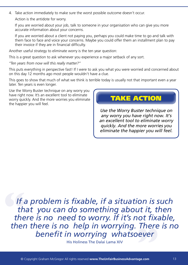4. Take action immediately to make sure the worst possible outcome doesn't occur. Action is the antidote for worry.

 If you are worried about your job, talk to someone in your organisation who can give you more accurate information about your concerns.

 If you are worried about a client not paying you, perhaps you could make time to go and talk with them face to face and voice your concerns. Maybe you could offer them an installment plan to pay their invoice if they are in financial difficulty.

Another useful strategy to eliminate worry is the ten year question:

This is a great question to ask whenever you experience a major setback of any sort.

*"Ten years from now will this really matter?"*

This puts everything in perspective fast! If I were to ask you what you were worried and concerned about on this day 12 months ago most people wouldn't have a clue.

This goes to show that much of what we think is terrible today is usually not that important even a year later. Ten years is even longer.

Use the Worry Buster technique on any worry you have right now. It's an excellent tool to eliminate worry quickly. And the more worries you eliminate the happier you will feel.

### TAKE ACTION

*Use the Worry Buster technique on any worry you have right now. It's an excellent tool to eliminate worry quickly. And the more worries you eliminate the happier you will feel.*

If ith<br>th<br>the<br>ther *ot fixa*<br>There<br>ever *If a problem is fixable, if a situation is such that you can do something about it, then there is no need to worry. If it's not fixable, then there is no help in worrying. There is no benefit in worrying whatsoever* 

His Holiness The Dalai Lama XIV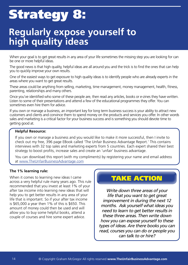# Strategy 8:

### **Regularly expose yourself to high quality ideas**

When your goal is to get great results in any area of your life sometimes the missing step you are looking for can be one or more helpful ideas.

The good news is that high quality, helpful ideas are all around you and the trick is to find the ones that can help you to quickly improve your own results.

One of the easiest ways to get exposure to high quality ideas is to identify people who are already experts in the areas where you want to get great results.

These areas could be anything from selling, marketing, time management, money management, health, fitness, parenting, relationships and many others.

Once you've identified who some of these people are, then read any articles, books or e-zines they have written. Listen to some of their presentations and attend a few of the educational programmes they offer. You can sometimes even hire them for advice.

If you own or manage a business, an important key for long term business success is your ability to attract new customers and clients and convince them to spend money on the products and services you offer. In other words sales and marketing is a critical factor for your business success and is something you should devote time to getting good at.

#### **Helpful Resource:**

If you own or manage a business and you would like to make it more successful, then I invite to check out my free, 396 page EBook called 'The Unfair Business Advantage Report.' This contains interviews with 32 top sales and marketing experts from 5 countries. Each expert shared their best strategy to boost profits, increase sales and create an 'unfair' business advantage.

You can download this report (with my compliments) by registering your name and email address at www.TheUnfairBusinessAdvantage.com

#### **The 1% learning rule:**

When it comes to learning new ideas I came across a very helpful rule many years ago. This rule recommended that you invest at least 1% of your after tax income into learning new ideas that will help you to get better results in any area of your life that is important. So if your after tax income is \$65,000 a year then 1% of this is \$650. This amount of money could then be used and will allow you to buy some helpful books, attend a couple of courses and hire some expert advice.

### TAKE ACTION

*Write down three areas of your life that you want to get great improvement in during the next 12 months. Ask yourself what ideas you need to learn to get better results in these three areas. Then write down how you can expose yourself to these types of ideas. Are there books you can read, courses you can do or people you can talk to or hire?*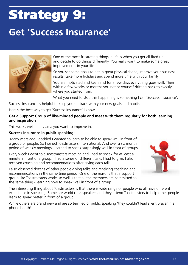# Strategy 9: **Get 'Success Insurance'**



One of the most frustrating things in life is when you get all fired up and decide to do things differently. You really want to make some great improvements in your life.

So you set some goals to get in great physical shape, improve your business results, take more holidays and spend more time with your family.

You are motivated and keen and for a few days everything goes well. Then within a few weeks or months you notice yourself drifting back to exactly where you started from.

What you need to stop this happening is something I call 'Success Insurance'.

Success Insurance is helpful to keep you on track with your new goals and habits.

Here's the best way to get 'Success Insurance' I know.

#### **Get a Support Group of like-minded people and meet with them regularly for both learning and inspiration**

This works well in any area you want to improve in.

#### **Success Insurance in public speaking:**

 Many years ago I decided I wanted to learn to be able to speak well in front of a group of people. So I joined Toastmasters International. And over a six month period of weekly meetings I learned to speak surprisingly well in front of groups.

Every week I went to a Toastmasters meeting and I had to speak for at least a minute in front of a group. I had a series of different talks I had to give. I also received coaching and recommendations after giving each talk.

I also observed dozens of other people giving talks and receiving coaching and recommendations in the same time period. One of the reasons that a support group like Toastmasters works so well is that all the members are committed to the same thing - learning how to speak well in front of a group.



The interesting thing about Toastmasters is that there is wide range of people who all have different experience in speaking. Some are world class speakers and they attend Toastmasters to help other people learn to speak better in front of a group.

While others are brand new and are so terrified of public speaking 'they couldn't lead silent prayer in a phone booth!'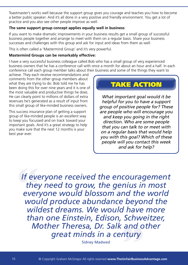Toastmaster's works well because the support group gives you courage and teaches you how to become a better public speaker. And it's all done in a very positive and friendly environment. You get a lot of practice and you also see other people improve as well.

#### **The same support group concept applies equally well in business**:

If you want to make dramatic improvements in your business results get a small group of successful business people together and arrange to meet with them on a regular basis. Share your business successes and challenges with this group and ask for input and ideas from them as well.

This is often called a 'Mastermind Group' and it's very powerful.

#### **Mastermind Groups can be remarkably effective:**

I have a very successful business colleague called Bob who has a small group of very experienced business owners that he has a conference call with once a month for about an hour and a half. In each conference call each group member talks about their business and some of the things they want to

achieve. They each receive recommendations and comments from the other group members about what they are trying to do. Bob told me he has been doing this for over nine years and it is one of the most valuable and productive things he does. He can clearly point to millions of dollars of extra revenues he's generated as a result of input from this small group of like-minded business owners.

This success insurance plan of getting a support group of like-minded people is an excellent way to keep you focussed and on track toward your important goals. And it's a great strategy to help you make sure that the next 12 months is your best year ever.

### TAKE ACTION

*What important goal would it be helpful for you to have a support group of positive people for? These are people who will encourage you and keep you going in the right direction. Who are some people that you can talk to or meet with on a regular basis that would help you with this goal? Which of these people will you contact this week and ask for help?*

**Schw**<br>and o<br>ntury If even<br>the<br>even *If everyone received the encouragement they need to grow, the genius in most everyone would blossom and the world would produce abundance beyond the wildest dreams. We would have more than one Einstein, Edison, Schweitzer, Mother Theresa, Dr. Salk and other great minds in a century* 

Sidney Madwed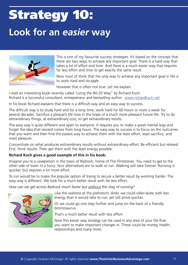# Strategy 10: **Look for an** *easier* **way**



This is one of my favourite success strategies. It's based on the concept that there are two ways to achieve any important goal. There is a hard way that takes a lot of effort and time. And there is a much easier way that requires far less effort and time to get exactly the same result.

Now most of think that the only way to achieve any important goal in life is to work hard and struggle.

However that is often not true. Let me explain.

I read an interesting book recently called 'Living the 80-20 Way" by Richard Koch. Richard is a successful consultant, entrepreneur and bestselling author. www.richardkoch.net

In his book Richard explains that there is a difficult way and an easy way to success.

The difficult way is to study hard and for a long time, work hard for 60 hours or more a week for several decades. Sacrifice a pleasant life now in the hope of a much more pleasant future life. Try to do extraordinary things, at extraordinary cost, to get extraordinary results.

The easy way is quite different and open to everyone. It requires you to make a great mental leap and forget the idea that reward comes from long hours. The easy way to success is to focus on the outcomes that you want and then find the easiest way to achieve them with the least effort, least sacrifice, and most pleasure.

Concentrate on what produces extraordinary results without extraordinary effort. Be efficient but relaxed. First, think results. Then get them with the least energy possible.

#### **Richard Koch gives a good example of this in his book:**

Imagine you're a caveperson in the town of Bedrock, home of The Flintstones. You need to get to the other side of town in a hurry. Your alternatives are to walk or run. Walking will take forever. Running is quicker, but requires a lot more effort.

To run would be to make the popular option of trying to secure a better result by working harder. The easy way is different. We look for a much better result with far less effort.

*How can we get across Bedrock much faster but without the slog of running?*

Like the waitress at the prehistoric diner, we could roller-skate with less energy than it would take to run, yet still arrive quicker.

Or we could go one step further and jump on the back of a friendly brontosaurus.

That's a much better result with less effort.

Now this easier way strategy can be used in any area of your life that you want to make important changes in. These could be money, health, relationships and many more.

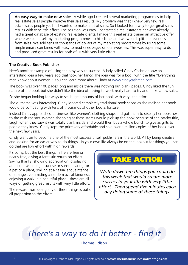**An easy way to make new sales:** A while ago I created several marketing programmes to help real estate sales people improve their sales results. My problem was that I knew very few real estate sales people yet I still wanted to make a lot of sales. So I looked for a way to get great sales results with very little effort. The solution was easy. I contacted a real estate trainer who already had a great database of existing real estate clients. I made this real estate trainer an attractive offer where we could sell my marketing programmes to his clients and we would split the revenues from sales. We sold tens of thousands of dollars of my marketing programmes by using some simple emails combined with easy to read sales pages on our websites. This was super easy to do and produced great results for both of us with very little effort.

#### **The Creative Book Publisher**

Here's another example of using the easy way to success. A lady called Cindy Cashman saw an interesting idea a few years ago that took her fancy. The idea was for a book with the title "Everything men know about women." You can learn more about Cindy at www.cindycashman.com

The book was over 100 pages long and inside there was nothing but blank pages. Cindy liked the fun nature of the book but she didn't like the idea of having to work really hard to try and make a few sales.

So she began looking for ways to sell huge amounts of her book with very little effort.

The outcome was interesting. Cindy ignored completely traditional book shops as she realised her book would be competing with tens of thousands of other books for sale.

Instead Cindy approached businesses like women's clothing shops and got them to display her book next to the cash register. Women shopping at these stores would pick up the book because of the catchy title, laugh when they saw it was totally blank inside and would then buy a whole bunch to give as gifts to people they knew. Cindy kept the price very affordable and sold over a million copies of her book over the next few years.

Cindy went on to become one of the most successful self publishers in the world. All by being creative and looking for an easier way to do things. In your own life always be on the lookout for things you can do that are low effort with high rewards.

It's corny, but the best things in life are free or nearly free, giving a fantastic return on effort. Saying thanks, showing appreciation, displaying affection, watching a sunrise or sunset, caring for a pet or a plant, smiling at a casual acquaintance or stranger, committing a random act of kindness, enjoying a walk in a beautiful place - these are all ways of getting great results with very little effort.

The reward from doing any of these things is out of all proportion to the effort.

### TAKE ACTION

*Write down ten things you could do this week that would create more success in your life with very little effort. Then spend five minutes each day doing some of these things.* 

# There's a way to do it better - find it<br>
Thomas Edison<br>
© Copyright Graham McGregor All rights reserved www.TheUnfairBusinessAdvantage.com *There's a way to do it better - find it*

Thomas Edison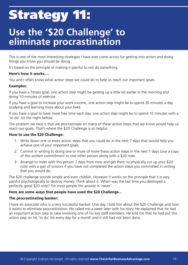# Strategy 11:

### **Use the '\$20 Challenge' to eliminate procrastination**

This is one of the most interesting strategies I have ever come across for getting into action and doing things you know you should be doing.

It's based on the principle of making it painful to not do something.

#### **Here's how it works….**

You and I often know what action steps we could do to help us reach our important goals.

#### **Examples:**

If you have a fitness goal, one action step might be getting up a little bit earlier in the morning and doing 10 minutes of exercise.

If you have a goal to increase your work income, one action step might be to spend 30 minutes a day studying and learning more about your field.

If you have a goal to have more free time each day, one action step might be to spend 10 minutes with a 'to do' list the night before.

The problem we face is that we procrastinate on many of these action steps that we know would help us reach our goals. That's where the \$20 Challenge is so helpful.

#### **How to use the \$20 Challenge:**

- 1: Write down one or more action steps that you could do in the next 7 days that would help you achieve one of your important goals.
- 2: Commit in writing to doing one or more of more these action steps in the next 7 days Give a copy of this written commitment to one other person along with a \$20 note.
- 3: Arrange to meet with this person 7 days from now and get them to physically cut up your \$20 note with a pair of scissors if you have not completed the action steps you committed in writing that you would do.

The \$20 challenge sounds simple and even childish. However it works on the principle that it is very painful psychologically to destroy money. Think about it. When was the last time you destroyed a perfectly good \$20 note? For most people the answer is 'never'.

#### **Here are some ways that people have used the \$20 Challenge...**

#### **The procrastinating banker:**

I have an associate who is a very successful banker. One day I told him about the \$20 Challenge and how it works to eliminate procrastination. He called me a week later with his story. He explained that he had an important action step to take involving one of his key staff members. He told me that he had put this action step on his 'to do' list every day for a month and it still had not been done.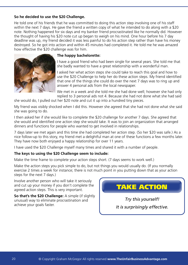#### **So he decided to use the \$20 Challenge.**

He told one of his friends that he was committed to doing this action step involving one of his staff within the next 7 days. He gave the friend a written copy of what he intended to do along with a \$20 note. Nothing happened for six days and my banker friend procrastinated like he normally did. However the thought of having his \$20 note cut up began to weigh on his mind. One hour before his 7 day deadline was up, my friend decided it was less painful to do his action step rather than have his money destroyed. So he got into action and within 45 minutes had completed it. He told me he was amazed how effective the \$20 challenge was for him.



#### **The happy bachelorette:**

I have a good friend who had been single for several years. She told me that she badly wanted to have a great relationship with a wonderful man.

I asked her what action steps she could take to reach this goal and how to use the \$20 Challenge to help her do these action steps. My friend identified that one of the things she could do over the next 7 days was to ring up and answer 4 personal ads from the local newspaper.

We met in a week and she told me she had done well; however she had only replied to 3 personal ads not 4. Because she had not done what she had said

she would do, I pulled out her \$20 note and cut it up into a hundred tiny pieces.

My friend was visibly shocked when I did this. However she agreed that she had not done what she said she was going to do.

I then asked her if she would like to complete the \$20 challenge for another 7 days. She agreed that she would and identified one action step she would take. It was to join an organization that arranged dinners and functions for people who wanted to get involved in relationships.

7 days later we met again and this time she had completed her action step. (So her \$20 was safe.) As a nice follow-up to this story, my friend met a delightful man at one of these functions a few months later. They have now both enjoyed a happy relationship for over 11 years.

I have used the \$20 Challenge myself many times and shared it with a number of people.

#### **The keys to using the \$20 Challenge seem to include:**

Make the time frame to complete your action steps short. (7 days seems to work well.)

Make the action steps you pick simple to do, but not things you would usually do. (If you normally exercise 2 times a week for instance; there is not much point in you putting down that as your action steps for the next 7 days.)

Involve another person who will take it seriously and cut up your money if you don't complete the agreed action steps. This is very important.

**So that's the \$20 Challenge:** A simple (if slightly unusual) way to eliminate procrastination and achieve your goals faster.

TAKE ACTION

*Try this yourself! It is surprisingly effective.*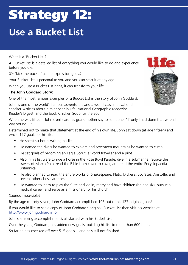# Strategy 12: **Use a Bucket List**

What is a 'Bucket List'?

A 'Bucket list' is a detailed list of everything you would like to do and experience before you die.

(Or 'kick the bucket' as the expression goes.)

Your Bucket List is personal to you and you can start it at any age.

When you use a Bucket List right, it can transform your life.

#### **The John Goddard Story:**

One of the most famous examples of a Bucket List is the story of John Goddard.

John is one of the world's famous adventurers and a world-class motivational speaker. Articles about him appear in Life, National Geographic Magazine, Reader's Digest, and the book Chicken Soup for the Soul.

When he was fifteen, John overheard his grandmother say to someone, "If only I had done that when I was young…"

Determined not to make that statement at the end of his own life, John sat down (at age fifteen) and wrote 127 goals for his life.

- He spent six hours writing his list.
- He named ten rivers he wanted to explore and seventeen mountains he wanted to climb.
- He set goals of becoming an Eagle Scout, a world traveller and a pilot.
- Also in his list were to ride a horse in the Rose Bowl Parade, dive in a submarine, retrace the travels of Marco Polo, read the Bible from cover to cover, and read the entire Encyclopaedia Britannica.
- He also planned to read the entire works of Shakespeare, Plato, Dickens, Socrates, Aristotle, and several other classic authors.
- He wanted to learn to play the flute and violin, marry and have children (he had six), pursue a medical career, and serve as a missionary for his church.

Sounds impossible?

By the age of forty-seven, John Goddard accomplished 103 out of his 127 original goals!

If you would like to see a copy of John Goddard's original 'Bucket List then visit his website at http://www.johngoddard.info

John's amazing accomplishment's all started with his Bucket List:

Over the years, Goddard, has added new goals, building his list to more than 600 items.

So far he has checked off over 515 goals -- and he's still not finished.

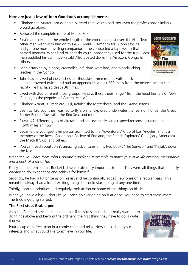#### **Here are just a few of John Goddard's accomplishments:**

- Climbed the Matterhorn during a blizzard that was so bad, not even the professional climbers would go along.
- Retraced the complete route of Marco Polo.
- First man to explore the whole length of the world's longest river, the Nile. Two other men went with him on this 4,200-mile, 10-month trek (John says he had yet one more travelling companion -- he contracted a tape worm that he named Rodney). What kind of boat do you suppose they used for the trip? Each man paddled his own little kayak! Also boated down the Amazon, Congo & others.
- Been attacked by hippos, crocodiles, a furious wart hog, and bloodsucking leeches in the Congo.
- John has survived plane crashes, earthquakes, three rounds with quicksand, almost drowned twice, and had an appendicitis attack 200 miles from the nearest health care facility. He has faced death 38 times.
- Lived with 260 different tribal groups. He says these tribes range "from the head hunters of New Guinea, to the pygmies of Central Africa"
- Climbed Ararat, Kilimanjaro, Fuji, Rainier, the Matterhorn, and the Grand Tetons.
- Been to 120 countries, learned to fly a plane, explored underwater the reefs of Florida, the Great Barrier Reef in Australia, the Red Sea, and more.
- Flown 47 different types of aircraft, and set several civilian air-speed records including one at 1,500 miles an hour.
- Became the youngest ever person admitted to the Adventurers' Club of Los Angeles, and is a member of the Royal Geographic Society of England, the French Explorers' Club (only American), the Mach II Club, and others.
- You can read about John's amazing adventures in his two books 'The Survivor' and 'Kayak's down the Nile.'

#### *What can you learn from John Goddard's Bucket List example to make your own life exciting, memorable and a heck of a lot of fun?*

Firstly, all the items on his Bucket List were extremely important to him. They were all things that he really wanted to do, experience and achieve for himself.

Secondly, he had a lot of items on his list and he continually added new ones on a regular basis. This meant he always had a lot of exciting things he could start doing at any one time.

Thirdly, John set priorities and regularly took action on some of the things on his list.

When you have a big Bucket List you can't do everything on it at once. You need to start somewhere. The trick is getting started.

#### **The First step: Grab a pen**

As John Goddard says "I tell people that if they're sincere about really wanting to do things above and beyond the ordinary, the first thing they have to do is write it down."

Pour a cup of coffee, plop in a comfy chair and relax. Now think about your interests and what you'd like to achieve in your life.



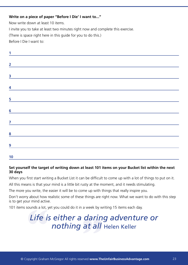#### **Write on a piece of paper "Before I Die' I want to..."**

Now write down at least 10 items.

I invite you to take at least two minutes right now and complete this exercise.

(There is space right here in this guide for you to do this.)

Before I Die I want to:

| 2                                                                                                                                                                                                                                                                                                                                  |  |  |
|------------------------------------------------------------------------------------------------------------------------------------------------------------------------------------------------------------------------------------------------------------------------------------------------------------------------------------|--|--|
|                                                                                                                                                                                                                                                                                                                                    |  |  |
|                                                                                                                                                                                                                                                                                                                                    |  |  |
|                                                                                                                                                                                                                                                                                                                                    |  |  |
|                                                                                                                                                                                                                                                                                                                                    |  |  |
| 5                                                                                                                                                                                                                                                                                                                                  |  |  |
|                                                                                                                                                                                                                                                                                                                                    |  |  |
| $\overline{6}$ and $\overline{6}$ and $\overline{1}$ and $\overline{1}$ and $\overline{1}$ and $\overline{1}$ and $\overline{1}$ and $\overline{1}$ and $\overline{1}$ and $\overline{1}$ and $\overline{1}$ and $\overline{1}$ and $\overline{1}$ and $\overline{1}$ and $\overline{1}$ and $\overline{1}$ and $\overline{1}$ and |  |  |
| $\overline{7}$ and $\overline{7}$ and $\overline{7}$ and $\overline{7}$ and $\overline{7}$ and $\overline{7}$ and $\overline{7}$ and $\overline{7}$ and $\overline{7}$ and $\overline{7}$ and $\overline{7}$ and $\overline{7}$ and $\overline{7}$ and $\overline{7}$ and $\overline{7}$ and $\overline{7}$ and $\overline{7}$ and |  |  |
|                                                                                                                                                                                                                                                                                                                                    |  |  |
|                                                                                                                                                                                                                                                                                                                                    |  |  |
|                                                                                                                                                                                                                                                                                                                                    |  |  |
| 9                                                                                                                                                                                                                                                                                                                                  |  |  |
|                                                                                                                                                                                                                                                                                                                                    |  |  |
| 10                                                                                                                                                                                                                                                                                                                                 |  |  |

#### **Set yourself the target of writing down at least 101 items on your Bucket list within the next 30 days**

When you first start writing a Bucket List it can be difficult to come up with a lot of things to put on it.

All this means is that your mind is a little bit rusty at the moment, and it needs stimulating.

The more you write, the easier it will be to come up with things that really inspire you.

Don't worry about how realistic some of these things are right now. What we want to do with this step is to get your mind active.

101 items sounds a lot, yet you could do it in a week by writing 15 items each day.

# sounds a lot, yet you could do it in a week by wi<br> **Life is either a darin**<br> **nothing at all** *Life is either a daring adventure or nothing at all* Helen Keller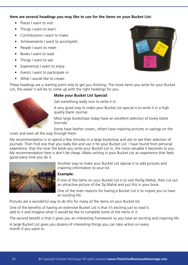#### **Here are several headings you may like to use for the items on your Bucket List:**

- Places I want to visit:
- Things I want to learn:
- Contributions I want to make:
- • Achievements I want to accomplish:
- People I want to meet:
- Books I want to read:
- Things I want to see:
- Experiences I want to enjoy:
- • Events I want to participate in:
- What I would like to create:



These headings are a starting point only to get you thinking. The more items you write for your Bucket List, the easier it will be to come up with the right headings for you.



#### **Make your Bucket List Special:**

Get something really nice to write it in:

A very good way to make your Bucket List special is to write it in a high quality blank Journal.

Most large bookshops today have an excellent selection of lovely blank Journals.

Some have leather covers, others have inspiring pictures or sayings on the

cover and even all the way through them.

My recommendation is to spend a few minutes in a large bookshop and ask to see their selection of journals. Then find one that you really like and use it for your Bucket List. I have found from personal experience, that the nicer the book you write your Bucket List in, the more valuable it becomes to you. My recommendation here is don't be cheap. Make writing in your Bucket List an experience that feels good every time you do it.



Another way to make your Bucket List special is to add pictures and inspiring information to your list.

#### **Example:**

If one of the items on your Bucket List is to visit theTaj Mahal, then cut out an attractive picture of the Taj Mahal and put this in your book.

One of the main reasons for having a Bucket List is to inspire you to have an exciting life.

Pictures are a wonderful way to do this for many of the items on your Bucket list

One of the benefits of having an extensive Bucket List is that it's exciting just to read it, add to it and imagine what it would be like to complete some of the items in it.

The second benefit is that it gives you an interesting framework so you have an exciting and inspiring life.

A large Bucket List gives you dozens of interesting things you can take action on every month if you want to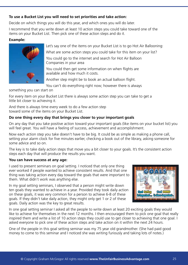#### **To use a Bucket List you will need to set priorities and take action:**

Decide on which things you will do this year, and which ones you will do later.

I recommend that you write down at least 10 action steps you could take toward one of the items on your Bucket List. Then pick one of these action steps and do it.

#### **Example:**

œ

Let's say one of the items on your Bucket List is to go Hot Air Ballooning:

What are some action steps you could take for this item on your list?

You could go to the internet and search for Hot Air Balloon Companies in your area

You could then get some information on when flights are available and how much it costs.

Another step might be to book an actual balloon flight.

You can't do everything right now; however there is always

something you can start on

For every item on your Bucket List there is always some action step you can take to get a little bit closer to achieving it.

And there is always time every week to do a few action step toward some of the items on your Bucket List.

#### **Do one thing every day that brings you closer to your important goals**

On any day that you take positive action toward your important goals (like items on your bucket list) you will feel great. You will have a feeling of success, achievement and accomplishment.

Now each action step you take doesn't have to be big. It could be as simple as making a phone call, setting your alarm clock for five minutes earlier, checking a book out of the library, asking someone for some advice and so on.

The key is to take daily action steps that move you a bit closer to your goals. It's the consistent action steps each day that will produce the results you want.

#### **You can have success at any age:**

I used to present seminars on goal setting. I noticed that only one thing ever worked if people wanted to achieve consistent results. And that one thing was taking action every day toward the goals that were important to them. What didn't work was anything else.

In my goal setting seminars, I observed that a person might write down ten goals they wanted to achieve in a year. Provided they took daily action on these goals, it was very common for a person to achieve 6-8 of these goals. If they didn't take daily action, they might only get 1 or 2 of these goals. Daily action was the key to great results.



In one goal setting seminar I asked all the people to write down at least 20 exciting goals they would like to achieve for themselves in the next 12 months. I then encouraged them to pick one goal that really inspired them and write a list of 10 action steps they could use to get closer to achieving that one goal. I asked everyone to pick one of these action steps and take action on it within the next 24 hours.

One of the people in this goal setting seminar was my 75 year old grandmother. (She had paid good money to come to this seminar and I noticed she was writing furiously and taking lots of notes.)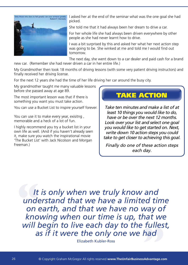

I asked her at the end of the seminar what was the one goal she had picked.

She told me that it had always been her dream to drive a car.

For her whole life she had always been driven everywhere by other people as she had never learnt how to drive.

I was a bit surprised by this and asked her what her next action step was going to be. She winked at me and told me I would find out tomorrow.

The next day, she went down to a car dealer and paid cash for a brand new car. (Remember she had never driven a car in her entire life.)

My Grandmother then took 18 months of driving lessons (with some very patient driving instructors) and finally received her driving license.

For the next 12 years she had the time of her life driving her car around the busy city.

My grandmother taught me many valuable lessons before she passed away at age 89.

The most important lesson was that if there is something you want you must take action.

You can use a Bucket List to inspire yourself forever.

You can use it to make every year, exisitng , memorable and a heck of a lot of fun.

I highly recommend you try a bucket list in your own life as well. (And if you haven't already seen it, make sure you watch the inspirational movie 'The Bucket List' with Jack Nicolson and Morgan Freeman.)

### TAKE ACTION

*Take ten minutes and make a list of at least 10 things you would like to do, have or be over the next 12 months. Look over your list and select one goal you would like to get started on. Next, write down 10 action steps you could take to get closer to achieving this goal.* 

*Finally do one of these action steps each day.*

It<br>und<br>on<br>kno **"at we**<br>fulles<br>had *It is only when we truly know and understand that we have a limited time on earth, and that we have no way of knowing when our time is up, that we will begin to live each day to the fullest, as if it were the only one we had* 

Elizabeth Kubler-Ross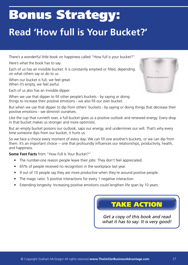# Bonus Strategy: **Read 'How full is Your Bucket?'**

There's a wonderful little book on happiness called "How full is your bucket?"

Here's what the book has to say:

Each of us has an invisible bucket. It is constantly emptied or filled, depending on what others say or do to us.

When our bucket is full, we feel great. When it's empty, we feel awful.

Each of us also has an invisible dipper.

When we use that dipper to fill other people's buckets - by saying or doing things to increase their positive emotions - we also fill our own bucket.

But when we use that dipper to dip from others' buckets - by saying or doing things that decrease their positive emotions - we diminish ourselves.

Like the cup that runneth over, a full bucket gives us a positive outlook and renewed energy. Every drop in that bucket makes us stronger and more optimistic.

But an empty bucket poisons our outlook, saps our energy, and undermines our will. That's why every time someone dips from our bucket, it hurts us.

So we face a choice every moment of every day: We can fill one another's buckets, or we can dip from them. It's an important choice -- one that profoundly influences our relationships, productivity, health, and happiness.

**Some Fast Facts** from "How Full Is Your Bucket?"

- The number-one reason people leave their jobs: They don't feel appreciated.
- 65% of people received no recognition in the workplace last year.
- 9 out of 10 people say they are more productive when they're around positive people.
- The magic ratio: 5 positive interactions for every 1 negative interaction.
- Extending longevity: Increasing positive emotions could lengthen life span by 10 years

### TAKE ACTION

*Get a copy of this book and read what it has to say. It is very good!*